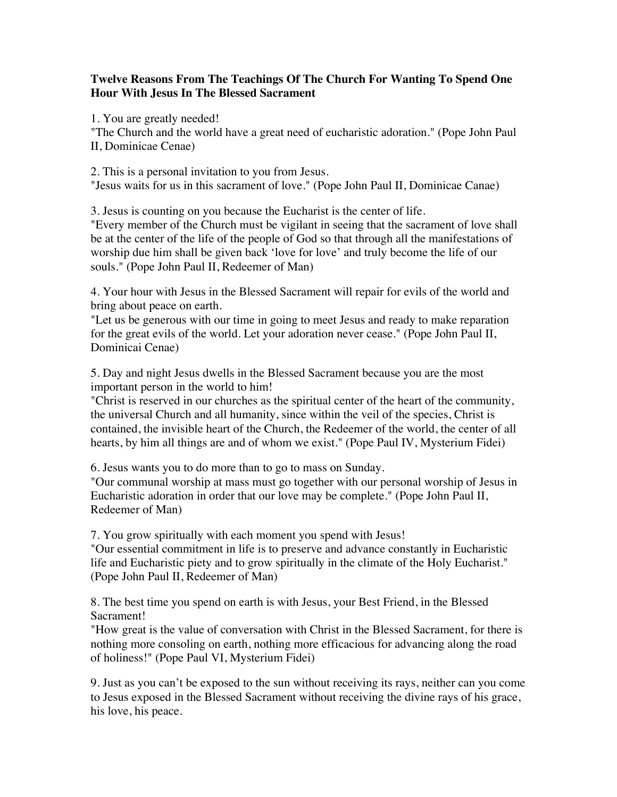## **Twelve Reasons From The Teachings Of The Church For Wanting To Spend One Hour With Jesus In The Blessed Sacrament**

1. You are greatly needed!

"The Church and the world have a great need of eucharistic adoration." (Pope John Paul II, Dominicae Cenae)

2. This is a personal invitation to you from Jesus. "Jesus waits for us in this sacrament of love." (Pope John Paul II, Dominicae Canae)

3. Jesus is counting on you because the Eucharist is the center of life.

"Every member of the Church must be vigilant in seeing that the sacrament of love shall be at the center of the life of the people of God so that through all the manifestations of worship due him shall be given back 'love for love' and truly become the life of our souls." (Pope John Paul II, Redeemer of Man)

4. Your hour with Jesus in the Blessed Sacrament will repair for evils of the world and bring about peace on earth.

"Let us be generous with our time in going to meet Jesus and ready to make reparation for the great evils of the world. Let your adoration never cease." (Pope John Paul II, Dominicai Cenae)

5. Day and night Jesus dwells in the Blessed Sacrament because you are the most important person in the world to him!

"Christ is reserved in our churches as the spiritual center of the heart of the community, the universal Church and all humanity, since within the veil of the species, Christ is contained, the invisible heart of the Church, the Redeemer of the world, the center of all hearts, by him all things are and of whom we exist." (Pope Paul IV, Mysterium Fidei)

6. Jesus wants you to do more than to go to mass on Sunday.

"Our communal worship at mass must go together with our personal worship of Jesus in Eucharistic adoration in order that our love may be complete." (Pope John Paul II, Redeemer of Man)

7. You grow spiritually with each moment you spend with Jesus!

"Our essential commitment in life is to preserve and advance constantly in Eucharistic life and Eucharistic piety and to grow spiritually in the climate of the Holy Eucharist." (Pope John Paul II, Redeemer of Man)

8. The best time you spend on earth is with Jesus, your Best Friend, in the Blessed Sacrament!

"How great is the value of conversation with Christ in the Blessed Sacrament, for there is nothing more consoling on earth, nothing more efficacious for advancing along the road of holiness!" (Pope Paul VI, Mysterium Fidei)

9. Just as you can't be exposed to the sun without receiving its rays, neither can you come to Jesus exposed in the Blessed Sacrament without receiving the divine rays of his grace, his love, his peace.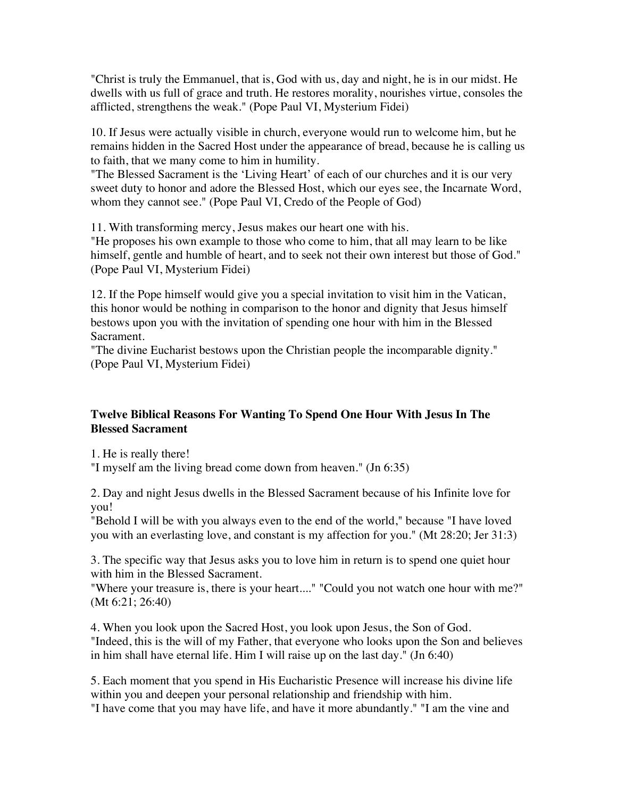"Christ is truly the Emmanuel, that is, God with us, day and night, he is in our midst. He dwells with us full of grace and truth. He restores morality, nourishes virtue, consoles the afflicted, strengthens the weak." (Pope Paul VI, Mysterium Fidei)

10. If Jesus were actually visible in church, everyone would run to welcome him, but he remains hidden in the Sacred Host under the appearance of bread, because he is calling us to faith, that we many come to him in humility.

"The Blessed Sacrament is the 'Living Heart' of each of our churches and it is our very sweet duty to honor and adore the Blessed Host, which our eyes see, the Incarnate Word, whom they cannot see." (Pope Paul VI, Credo of the People of God)

11. With transforming mercy, Jesus makes our heart one with his.

"He proposes his own example to those who come to him, that all may learn to be like himself, gentle and humble of heart, and to seek not their own interest but those of God." (Pope Paul VI, Mysterium Fidei)

12. If the Pope himself would give you a special invitation to visit him in the Vatican, this honor would be nothing in comparison to the honor and dignity that Jesus himself bestows upon you with the invitation of spending one hour with him in the Blessed Sacrament.

"The divine Eucharist bestows upon the Christian people the incomparable dignity." (Pope Paul VI, Mysterium Fidei)

## **Twelve Biblical Reasons For Wanting To Spend One Hour With Jesus In The Blessed Sacrament**

1. He is really there!

"I myself am the living bread come down from heaven." (Jn 6:35)

2. Day and night Jesus dwells in the Blessed Sacrament because of his Infinite love for you!

"Behold I will be with you always even to the end of the world," because "I have loved you with an everlasting love, and constant is my affection for you." (Mt 28:20; Jer 31:3)

3. The specific way that Jesus asks you to love him in return is to spend one quiet hour with him in the Blessed Sacrament.

"Where your treasure is, there is your heart...." "Could you not watch one hour with me?" (Mt 6:21; 26:40)

4. When you look upon the Sacred Host, you look upon Jesus, the Son of God. "Indeed, this is the will of my Father, that everyone who looks upon the Son and believes in him shall have eternal life. Him I will raise up on the last day." (Jn 6:40)

5. Each moment that you spend in His Eucharistic Presence will increase his divine life within you and deepen your personal relationship and friendship with him. "I have come that you may have life, and have it more abundantly." "I am the vine and